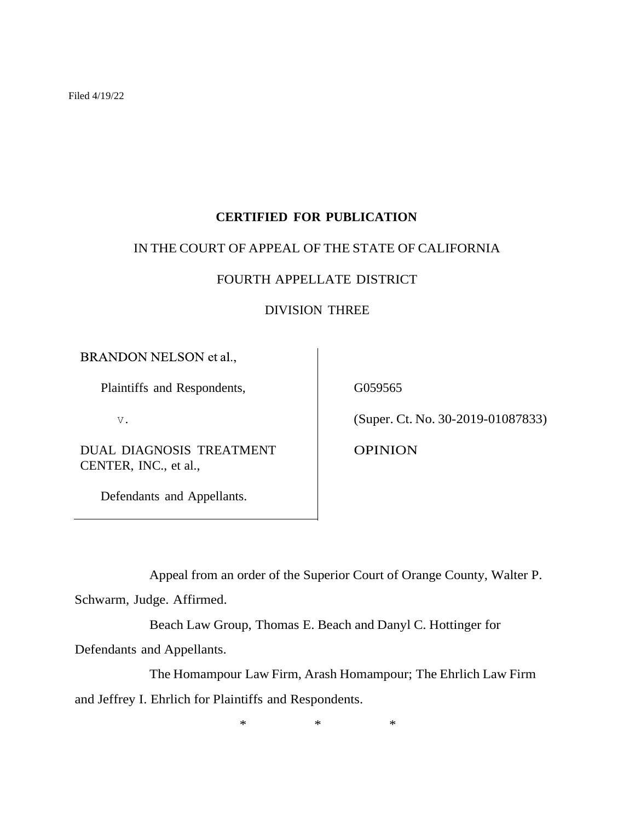Filed 4/19/22

# **CERTIFIED FOR PUBLICATION**

### IN THE COURT OF APPEAL OF THE STATE OF CALIFORNIA

## FOURTH APPELLATE DISTRICT

### DIVISION THREE

BRANDON NELSON et al.,

Plaintiffs and Respondents,

V.

DUAL DIAGNOSIS TREATMENT CENTER, INC., et al.,

Defendants and Appellants.

G059565

(Super. Ct. No. 30-2019-01087833)

OPINION

Appeal from an order of the Superior Court of Orange County, Walter P.

Schwarm, Judge. Affirmed.

Beach Law Group, Thomas E. Beach and Danyl C. Hottinger for

Defendants and Appellants.

The Homampour Law Firm, Arash Homampour; The Ehrlich Law Firm and Jeffrey I. Ehrlich for Plaintiffs and Respondents.

\* \* \*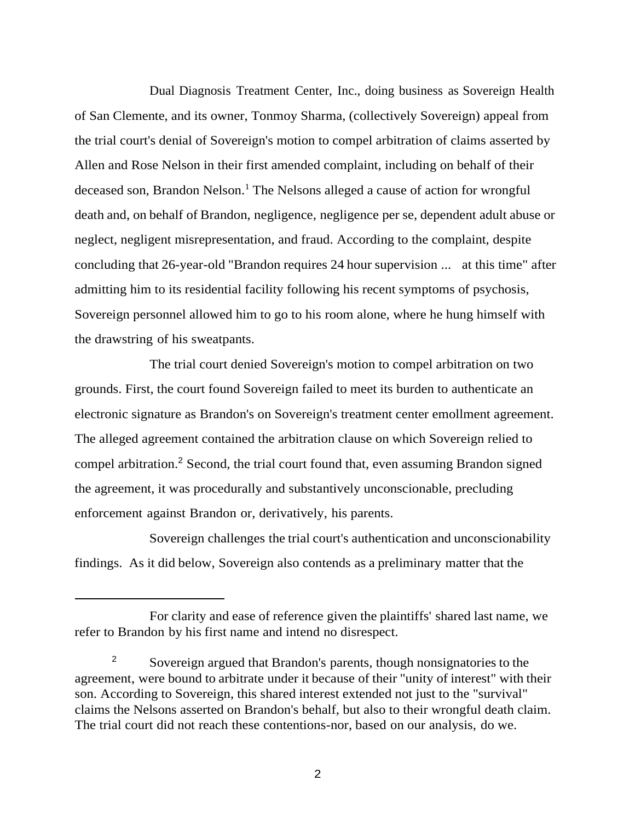Dual Diagnosis Treatment Center, Inc., doing business as Sovereign Health of San Clemente, and its owner, Tonmoy Sharma, (collectively Sovereign) appeal from the trial court's denial of Sovereign's motion to compel arbitration of claims asserted by Allen and Rose Nelson in their first amended complaint, including on behalf of their deceased son, Brandon Nelson.<sup>1</sup> The Nelsons alleged a cause of action for wrongful death and, on behalf of Brandon, negligence, negligence per se, dependent adult abuse or neglect, negligent misrepresentation, and fraud. According to the complaint, despite concluding that 26-year-old "Brandon requires 24 hour supervision ... at this time" after admitting him to its residential facility following his recent symptoms of psychosis, Sovereign personnel allowed him to go to his room alone, where he hung himself with the drawstring of his sweatpants.

The trial court denied Sovereign's motion to compel arbitration on two grounds. First, the court found Sovereign failed to meet its burden to authenticate an electronic signature as Brandon's on Sovereign's treatment center emollment agreement. The alleged agreement contained the arbitration clause on which Sovereign relied to compel arbitration.<sup>2</sup> Second, the trial court found that, even assuming Brandon signed the agreement, it was procedurally and substantively unconscionable, precluding enforcement against Brandon or, derivatively, his parents.

Sovereign challenges the trial court's authentication and unconscionability findings. As it did below, Sovereign also contends as a preliminary matter that the

For clarity and ease of reference given the plaintiffs' shared last name, we refer to Brandon by his first name and intend no disrespect.

<sup>&</sup>lt;sup>2</sup> Sovereign argued that Brandon's parents, though nonsignatories to the agreement, were bound to arbitrate under it because of their "unity of interest" with their son. According to Sovereign, this shared interest extended not just to the "survival" claims the Nelsons asserted on Brandon's behalf, but also to their wrongful death claim. The trial court did not reach these contentions-nor, based on our analysis, do we.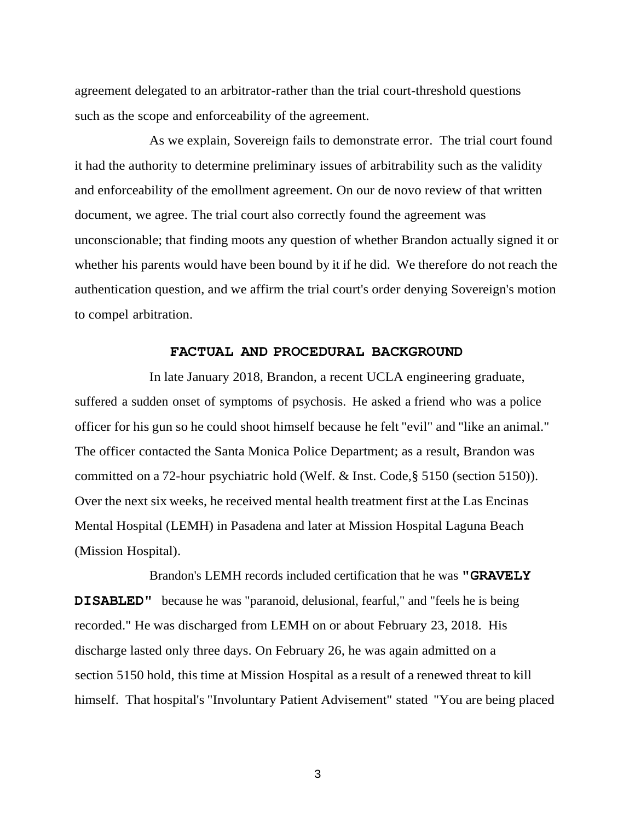agreement delegated to an arbitrator-rather than the trial court-threshold questions such as the scope and enforceability of the agreement.

As we explain, Sovereign fails to demonstrate error. The trial court found it had the authority to determine preliminary issues of arbitrability such as the validity and enforceability of the emollment agreement. On our de novo review of that written document, we agree. The trial court also correctly found the agreement was unconscionable; that finding moots any question of whether Brandon actually signed it or whether his parents would have been bound by it if he did. We therefore do not reach the authentication question, and we affirm the trial court's order denying Sovereign's motion to compel arbitration.

#### **FACTUAL AND PROCEDURAL BACKGROUND**

In late January 2018, Brandon, a recent UCLA engineering graduate, suffered a sudden onset of symptoms of psychosis. He asked a friend who was a police officer for his gun so he could shoot himself because he felt "evil" and "like an animal." The officer contacted the Santa Monica Police Department; as a result, Brandon was committed on a 72-hour psychiatric hold (Welf. & Inst. Code,§ 5150 (section 5150)). Over the next six weeks, he received mental health treatment first at the Las Encinas Mental Hospital (LEMH) in Pasadena and later at Mission Hospital Laguna Beach (Mission Hospital).

Brandon's LEMH records included certification that he was **"GRAVELY DISABLED"** because he was "paranoid, delusional, fearful," and "feels he is being recorded." He was discharged from LEMH on or about February 23, 2018. His discharge lasted only three days. On February 26, he was again admitted on a section 5150 hold, this time at Mission Hospital as a result of a renewed threat to kill himself. That hospital's "Involuntary Patient Advisement" stated "You are being placed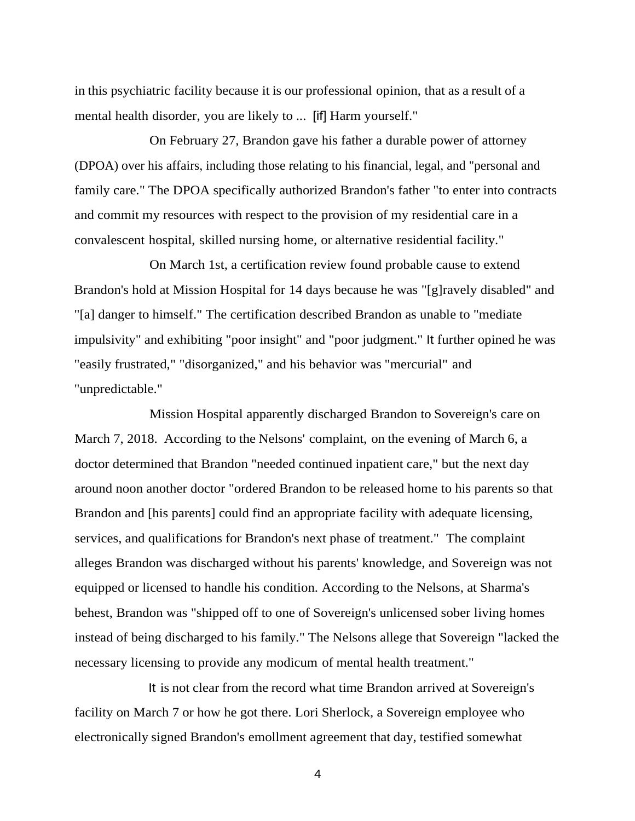in this psychiatric facility because it is our professional opinion, that as a result of a mental health disorder, you are likely to ... [if] Harm yourself."

On February 27, Brandon gave his father a durable power of attorney (DPOA) over his affairs, including those relating to his financial, legal, and "personal and family care." The DPOA specifically authorized Brandon's father "to enter into contracts and commit my resources with respect to the provision of my residential care in a convalescent hospital, skilled nursing home, or alternative residential facility."

On March 1st, a certification review found probable cause to extend Brandon's hold at Mission Hospital for 14 days because he was "[g]ravely disabled" and "[a] danger to himself." The certification described Brandon as unable to "mediate impulsivity" and exhibiting "poor insight" and "poor judgment." It further opined he was "easily frustrated," "disorganized," and his behavior was "mercurial" and "unpredictable."

Mission Hospital apparently discharged Brandon to Sovereign's care on March 7, 2018. According to the Nelsons' complaint, on the evening of March 6, a doctor determined that Brandon "needed continued inpatient care," but the next day around noon another doctor "ordered Brandon to be released home to his parents so that Brandon and [his parents] could find an appropriate facility with adequate licensing, services, and qualifications for Brandon's next phase of treatment." The complaint alleges Brandon was discharged without his parents' knowledge, and Sovereign was not equipped or licensed to handle his condition. According to the Nelsons, at Sharma's behest, Brandon was "shipped off to one of Sovereign's unlicensed sober living homes instead of being discharged to his family." The Nelsons allege that Sovereign "lacked the necessary licensing to provide any modicum of mental health treatment."

It is not clear from the record what time Brandon arrived at Sovereign's facility on March 7 or how he got there. Lori Sherlock, a Sovereign employee who electronically signed Brandon's emollment agreement that day, testified somewhat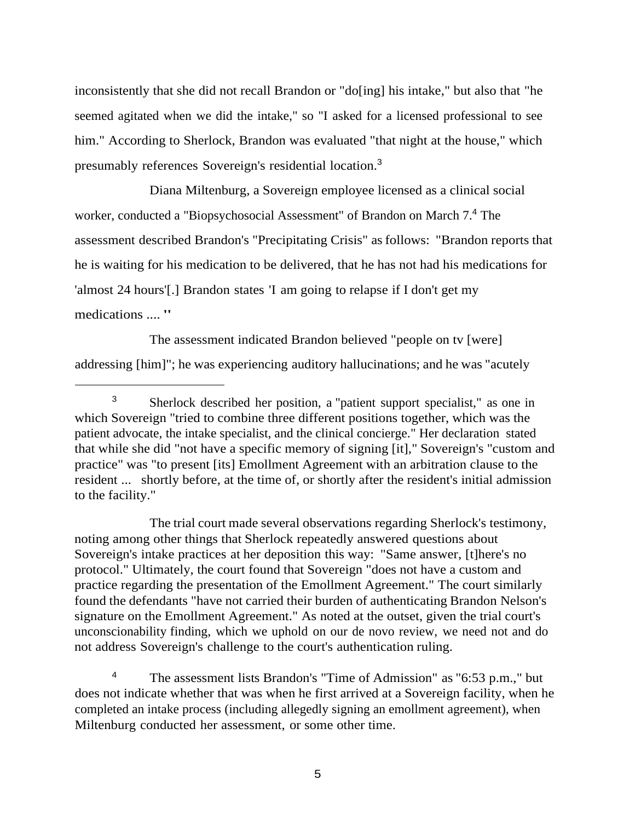inconsistently that she did not recall Brandon or "do[ing] his intake," but also that "he seemed agitated when we did the intake," so "I asked for a licensed professional to see him." According to Sherlock, Brandon was evaluated "that night at the house," which presumably references Sovereign's residential location.<sup>3</sup>

Diana Miltenburg, a Sovereign employee licensed as a clinical social worker, conducted a "Biopsychosocial Assessment" of Brandon on March 7.<sup>4</sup> The assessment described Brandon's "Precipitating Crisis" asfollows: "Brandon reports that he is waiting for his medication to be delivered, that he has not had his medications for 'almost 24 hours'[.] Brandon states 'I am going to relapse if I don't get my medications .... "

The assessment indicated Brandon believed "people on tv [were] addressing [him]"; he was experiencing auditory hallucinations; and he was "acutely

The trial court made several observations regarding Sherlock's testimony, noting among other things that Sherlock repeatedly answered questions about Sovereign's intake practices at her deposition this way: "Same answer, [t]here's no protocol." Ultimately, the court found that Sovereign "does not have a custom and practice regarding the presentation of the Emollment Agreement." The court similarly found the defendants "have not carried their burden of authenticating Brandon Nelson's signature on the Emollment Agreement." As noted at the outset, given the trial court's unconscionability finding, which we uphold on our de novo review, we need not and do not address Sovereign's challenge to the court's authentication ruling.

<sup>4</sup> The assessment lists Brandon's "Time of Admission" as "6:53 p.m.," but does not indicate whether that was when he first arrived at a Sovereign facility, when he completed an intake process (including allegedly signing an emollment agreement), when Miltenburg conducted her assessment, or some other time.

<sup>3</sup> Sherlock described her position, a "patient support specialist," as one in which Sovereign "tried to combine three different positions together, which was the patient advocate, the intake specialist, and the clinical concierge." Her declaration stated that while she did "not have a specific memory of signing [it]," Sovereign's "custom and practice" was "to present [its] Emollment Agreement with an arbitration clause to the resident ... shortly before, at the time of, or shortly after the resident's initial admission to the facility."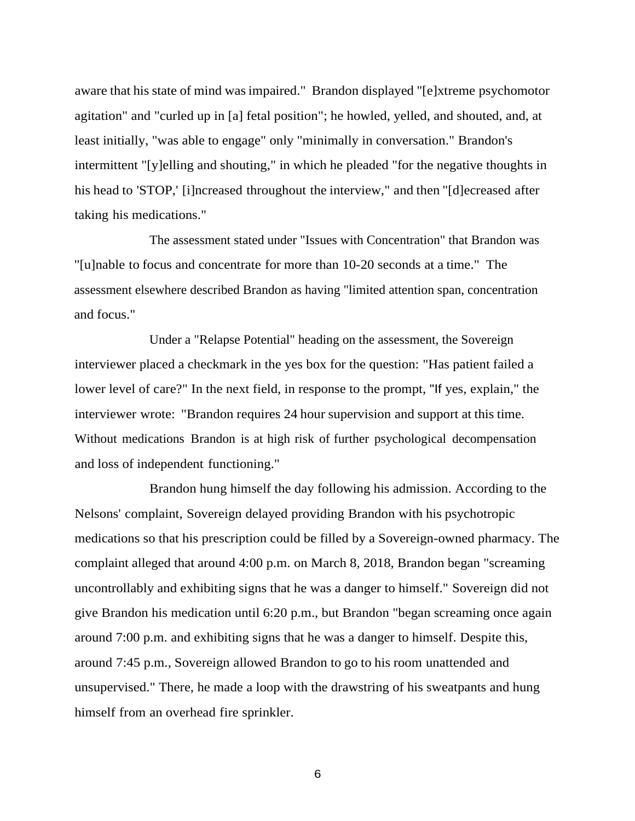aware that his state of mind wasimpaired." Brandon displayed "[e]xtreme psychomotor agitation" and "curled up in [a] fetal position"; he howled, yelled, and shouted, and, at least initially, "was able to engage" only "minimally in conversation." Brandon's intermittent "[y]elling and shouting," in which he pleaded "for the negative thoughts in his head to 'STOP,' [i]ncreased throughout the interview," and then "[d]ecreased after taking his medications."

The assessment stated under "Issues with Concentration" that Brandon was "[u]nable to focus and concentrate for more than 10-20 seconds at a time." The assessment elsewhere described Brandon as having "limited attention span, concentration and focus."

Under a "Relapse Potential" heading on the assessment, the Sovereign interviewer placed a checkmark in the yes box for the question: "Has patient failed a lower level of care?" In the next field, in response to the prompt, "If yes, explain," the interviewer wrote: "Brandon requires 24 hour supervision and support at this time. Without medications Brandon is at high risk of further psychological decompensation and loss of independent functioning."

Brandon hung himself the day following his admission. According to the Nelsons' complaint, Sovereign delayed providing Brandon with his psychotropic medications so that his prescription could be filled by a Sovereign-owned pharmacy. The complaint alleged that around 4:00 p.m. on March 8, 2018, Brandon began "screaming uncontrollably and exhibiting signs that he was a danger to himself." Sovereign did not give Brandon his medication until 6:20 p.m., but Brandon "began screaming once again around 7:00 p.m. and exhibiting signs that he was a danger to himself. Despite this, around 7:45 p.m., Sovereign allowed Brandon to go to his room unattended and unsupervised." There, he made a loop with the drawstring of his sweatpants and hung himself from an overhead fire sprinkler.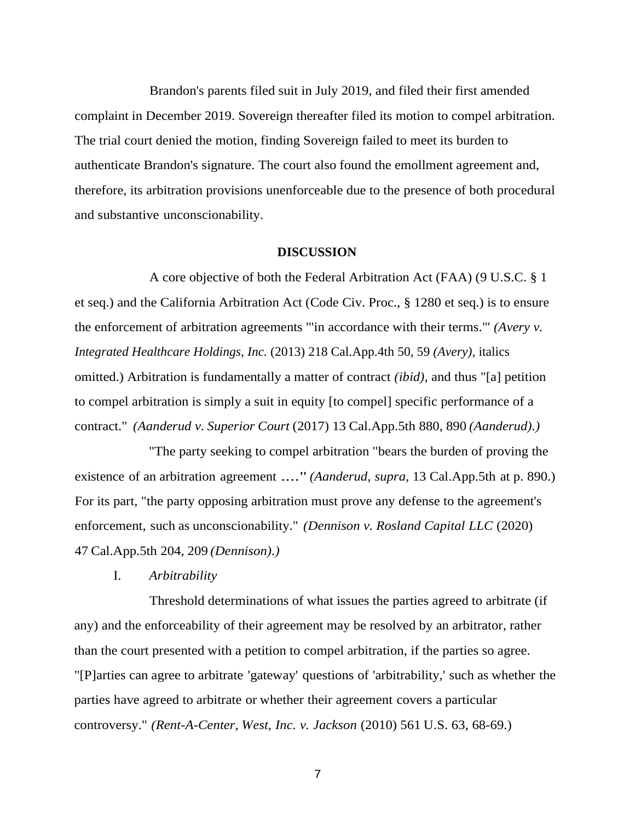Brandon's parents filed suit in July 2019, and filed their first amended complaint in December 2019. Sovereign thereafter filed its motion to compel arbitration. The trial court denied the motion, finding Sovereign failed to meet its burden to authenticate Brandon's signature. The court also found the emollment agreement and, therefore, its arbitration provisions unenforceable due to the presence of both procedural and substantive unconscionability.

#### **DISCUSSION**

A core objective of both the Federal Arbitration Act (FAA) (9 U.S.C. § 1 et seq.) and the California Arbitration Act (Code Civ. Proc., § 1280 et seq.) is to ensure the enforcement of arbitration agreements '"in accordance with their terms."' *(Avery v. Integrated Healthcare Holdings, Inc.* (2013) 218 Cal.App.4th 50, 59 *(Avery),* italics omitted.) Arbitration is fundamentally a matter of contract *(ibid),* and thus "[a] petition to compel arbitration is simply a suit in equity [to compel] specific performance of a contract." *(Aanderud v. Superior Court* (2017) 13 Cal.App.5th 880, 890 *(Aanderud).)*

"The party seeking to compel arbitration "bears the burden of proving the existence of an arbitration agreement ...." *(Aanderud, supra,* 13 Cal.App.5th at p. 890.) For its part, "the party opposing arbitration must prove any defense to the agreement's enforcement, such as unconscionability." *(Dennison v. Rosland Capital LLC* (2020) 47 Cal.App.5th 204, 209 *(Dennison).)*

I. *Arbitrability*

Threshold determinations of what issues the parties agreed to arbitrate (if any) and the enforceability of their agreement may be resolved by an arbitrator, rather than the court presented with a petition to compel arbitration, if the parties so agree. "[P]arties can agree to arbitrate 'gateway' questions of 'arbitrability,' such as whether the parties have agreed to arbitrate or whether their agreement covers a particular controversy." *(Rent-A-Center, West, Inc. v. Jackson* (2010) 561 U.S. 63, 68-69.)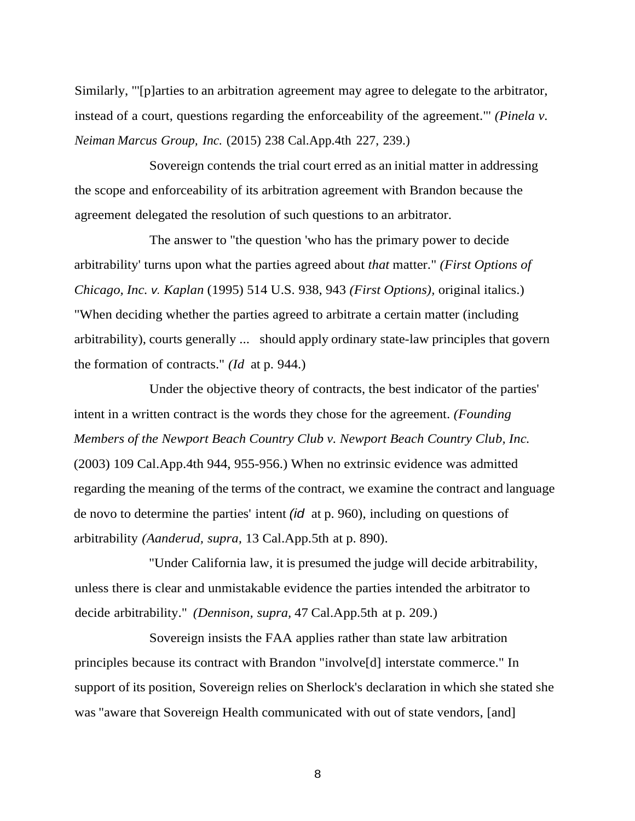Similarly, "'[p]arties to an arbitration agreement may agree to delegate to the arbitrator, instead of a court, questions regarding the enforceability of the agreement."' *(Pinela v. Neiman Marcus Group, Inc.* (2015) 238 Cal.App.4th 227, 239.)

Sovereign contends the trial court erred as an initial matter in addressing the scope and enforceability of its arbitration agreement with Brandon because the agreement delegated the resolution of such questions to an arbitrator.

The answer to "the question 'who has the primary power to decide arbitrability' turns upon what the parties agreed about *that* matter." *(First Options of Chicago, Inc. v. Kaplan* (1995) 514 U.S. 938, 943 *(First Options),* original italics.) "When deciding whether the parties agreed to arbitrate a certain matter (including arbitrability), courts generally ... should apply ordinary state-law principles that govern the formation of contracts." *(Id* at p. 944.)

Under the objective theory of contracts, the best indicator of the parties' intent in a written contract is the words they chose for the agreement. *(Founding Members of the Newport Beach Country Club v. Newport Beach Country Club, Inc.* (2003) 109 Cal.App.4th 944, 955-956.) When no extrinsic evidence was admitted regarding the meaning of the terms of the contract, we examine the contract and language de novo to determine the parties' intent *(id* at p. 960), including on questions of arbitrability *(Aanderud, supra,* 13 Cal.App.5th at p. 890).

"Under California law, it is presumed the judge will decide arbitrability, unless there is clear and unmistakable evidence the parties intended the arbitrator to decide arbitrability." *(Dennison, supra,* 47 Cal.App.5th at p. 209.)

Sovereign insists the FAA applies rather than state law arbitration principles because its contract with Brandon "involve[d] interstate commerce." In support of its position, Sovereign relies on Sherlock's declaration in which she stated she was "aware that Sovereign Health communicated with out of state vendors, [and]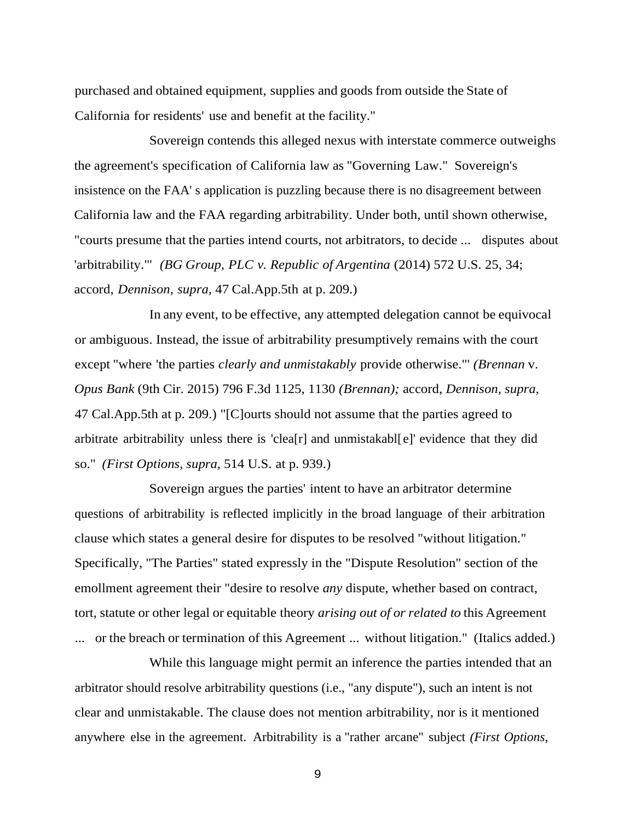purchased and obtained equipment, supplies and goods from outside the State of California for residents' use and benefit at the facility."

Sovereign contends this alleged nexus with interstate commerce outweighs the agreement's specification of California law as "Governing Law." Sovereign's insistence on the FAA' s application is puzzling because there is no disagreement between California law and the FAA regarding arbitrability. Under both, until shown otherwise, "courts presume that the parties intend courts, not arbitrators, to decide ... disputes about 'arbitrability."' *(BG Group, PLC v. Republic of Argentina* (2014) 572 U.S. 25, 34; accord, *Dennison, supra,* 47 Cal.App.5th at p. 209.)

In any event, to be effective, any attempted delegation cannot be equivocal or ambiguous. Instead, the issue of arbitrability presumptively remains with the court except "where 'the parties *clearly and unmistakably* provide otherwise."' *(Brennan* v. *Opus Bank* (9th Cir. 2015) 796 F.3d 1125, 1130 *(Brennan);* accord, *Dennison, supra,* 47 Cal.App.5th at p. 209.) "[C]ourts should not assume that the parties agreed to arbitrate arbitrability unless there is 'clea[r] and unmistakabl[e]' evidence that they did so." *(First Options, supra,* 514 U.S. at p. 939.)

Sovereign argues the parties' intent to have an arbitrator determine questions of arbitrability is reflected implicitly in the broad language of their arbitration clause which states a general desire for disputes to be resolved "without litigation." Specifically, "The Parties" stated expressly in the "Dispute Resolution" section of the emollment agreement their "desire to resolve *any* dispute, whether based on contract, tort, statute or other legal or equitable theory *arising out of or related to* this Agreement ... or the breach or termination of this Agreement ... without litigation." (Italics added.)

While this language might permit an inference the parties intended that an arbitrator should resolve arbitrability questions (i.e., "any dispute"), such an intent is not clear and unmistakable. The clause does not mention arbitrability, nor is it mentioned anywhere else in the agreement. Arbitrability is a "rather arcane" subject *(First Options,*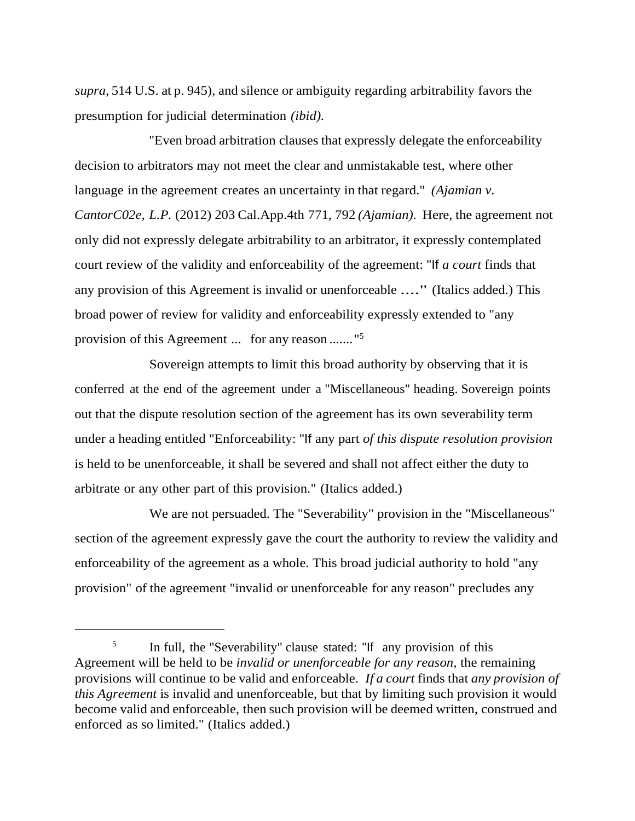*supra,* 514 U.S. at p. 945), and silence or ambiguity regarding arbitrability favors the presumption for judicial determination *(ibid).*

"Even broad arbitration clauses that expressly delegate the enforceability decision to arbitrators may not meet the clear and unmistakable test, where other language in the agreement creates an uncertainty in that regard." *(Ajamian v. CantorC02e, L.P.* (2012) 203 Cal.App.4th 771, 792 *(Ajamian).* Here, the agreement not only did not expressly delegate arbitrability to an arbitrator, it expressly contemplated court review of the validity and enforceability of the agreement: "If *a court* finds that any provision of this Agreement is invalid or unenforceable ...." (Italics added.) This broad power of review for validity and enforceability expressly extended to "any provision of this Agreement ... for any reason ......."<sup>5</sup>

Sovereign attempts to limit this broad authority by observing that it is conferred at the end of the agreement under a "Miscellaneous" heading. Sovereign points out that the dispute resolution section of the agreement has its own severability term under a heading entitled "Enforceability: "If any part *of this dispute resolution provision* is held to be unenforceable, it shall be severed and shall not affect either the duty to arbitrate or any other part of this provision." (Italics added.)

We are not persuaded. The "Severability" provision in the "Miscellaneous" section of the agreement expressly gave the court the authority to review the validity and enforceability of the agreement as a whole. This broad judicial authority to hold "any provision" of the agreement "invalid or unenforceable for any reason" precludes any

<sup>5</sup> In full, the "Severability" clause stated: "If any provision of this Agreement will be held to be *invalid or unenforceable for any reason,* the remaining provisions will continue to be valid and enforceable. *If a court* finds that *any provision of this Agreement* is invalid and unenforceable, but that by limiting such provision it would become valid and enforceable, then such provision will be deemed written, construed and enforced as so limited." (Italics added.)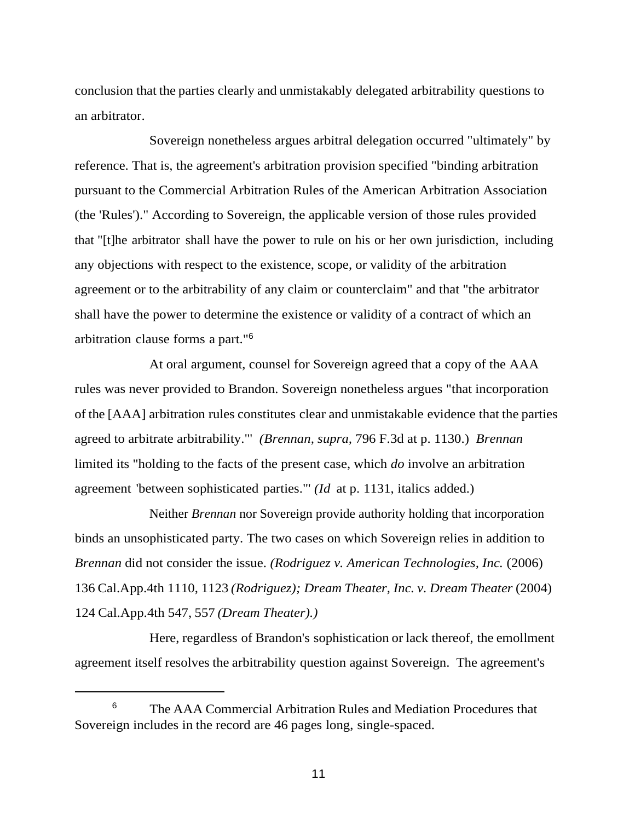conclusion that the parties clearly and unmistakably delegated arbitrability questions to an arbitrator.

Sovereign nonetheless argues arbitral delegation occurred "ultimately" by reference. That is, the agreement's arbitration provision specified "binding arbitration pursuant to the Commercial Arbitration Rules of the American Arbitration Association (the 'Rules')." According to Sovereign, the applicable version of those rules provided that "[t]he arbitrator shall have the power to rule on his or her own jurisdiction, including any objections with respect to the existence, scope, or validity of the arbitration agreement or to the arbitrability of any claim or counterclaim" and that "the arbitrator shall have the power to determine the existence or validity of a contract of which an arbitration clause forms a part."<sup>6</sup>

At oral argument, counsel for Sovereign agreed that a copy of the AAA rules was never provided to Brandon. Sovereign nonetheless argues "that incorporation of the [AAA] arbitration rules constitutes clear and unmistakable evidence that the parties agreed to arbitrate arbitrability."' *(Brennan, supra,* 796 F.3d at p. 1130.) *Brennan* limited its "holding to the facts of the present case, which *do* involve an arbitration agreement 'between sophisticated parties."' *(Id* at p. 1131, italics added.)

Neither *Brennan* nor Sovereign provide authority holding that incorporation binds an unsophisticated party. The two cases on which Sovereign relies in addition to *Brennan* did not consider the issue. *(Rodriguez v. American Technologies, Inc.* (2006) 136 Cal.App.4th 1110, 1123 *(Rodriguez); Dream Theater, Inc. v. Dream Theater* (2004) 124 Cal.App.4th 547, 557 *(Dream Theater).)*

Here, regardless of Brandon's sophistication or lack thereof, the emollment agreement itself resolves the arbitrability question against Sovereign. The agreement's

<sup>&</sup>lt;sup>6</sup> The AAA Commercial Arbitration Rules and Mediation Procedures that Sovereign includes in the record are 46 pages long, single-spaced.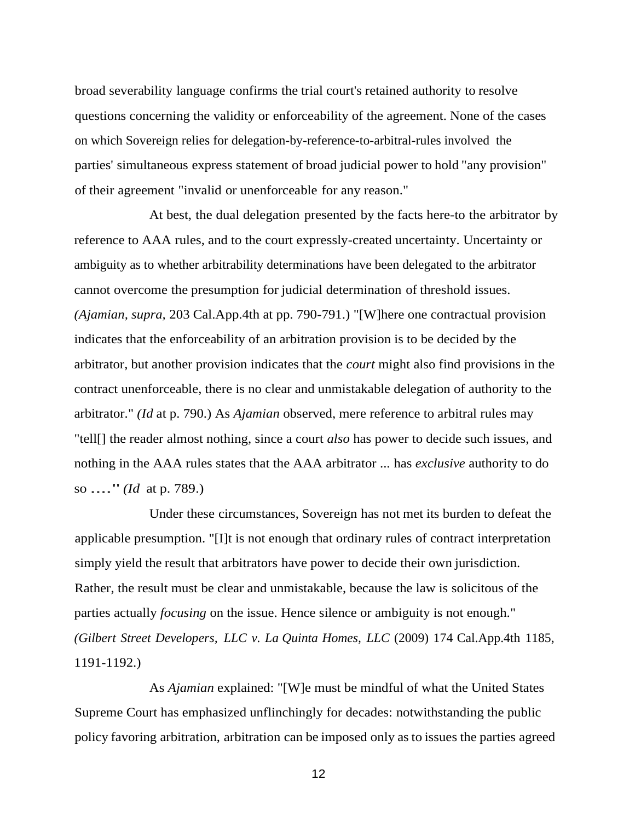broad severability language confirms the trial court's retained authority to resolve questions concerning the validity or enforceability of the agreement. None of the cases on which Sovereign relies for delegation-by-reference-to-arbitral-rules involved the parties' simultaneous express statement of broad judicial power to hold "any provision" of their agreement "invalid or unenforceable for any reason."

At best, the dual delegation presented by the facts here-to the arbitrator by reference to AAA rules, and to the court expressly-created uncertainty. Uncertainty or ambiguity as to whether arbitrability determinations have been delegated to the arbitrator cannot overcome the presumption for judicial determination of threshold issues. *(Ajamian, supra,* 203 Cal.App.4th at pp. 790-791.) "[W]here one contractual provision indicates that the enforceability of an arbitration provision is to be decided by the arbitrator, but another provision indicates that the *court* might also find provisions in the contract unenforceable, there is no clear and unmistakable delegation of authority to the arbitrator." *(Id* at p. 790.) As *Ajamian* observed, mere reference to arbitral rules may "tell[] the reader almost nothing, since a court *also* has power to decide such issues, and nothing in the AAA rules states that the AAA arbitrator ... has *exclusive* authority to do so ...." *(Id* at p. 789.)

Under these circumstances, Sovereign has not met its burden to defeat the applicable presumption. "[I]t is not enough that ordinary rules of contract interpretation simply yield the result that arbitrators have power to decide their own jurisdiction. Rather, the result must be clear and unmistakable, because the law is solicitous of the parties actually *focusing* on the issue. Hence silence or ambiguity is not enough." *(Gilbert Street Developers, LLC v. La Quinta Homes, LLC* (2009) 174 Cal.App.4th 1185, 1191-1192.)

As *Ajamian* explained: "[W]e must be mindful of what the United States Supreme Court has emphasized unflinchingly for decades: notwithstanding the public policy favoring arbitration, arbitration can be imposed only as to issues the parties agreed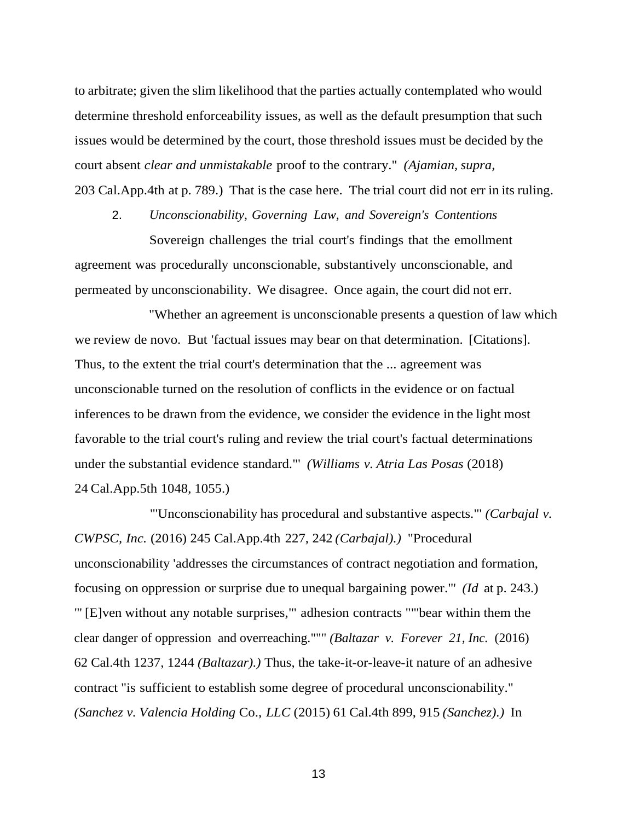to arbitrate; given the slim likelihood that the parties actually contemplated who would determine threshold enforceability issues, as well as the default presumption that such issues would be determined by the court, those threshold issues must be decided by the court absent *clear and unmistakable* proof to the contrary." *(Ajamian, supra,* 203 Cal.App.4th at p. 789.) That is the case here. The trial court did not err in its ruling.

2. *Unconscionability, Governing Law, and Sovereign's Contentions* Sovereign challenges the trial court's findings that the emollment agreement was procedurally unconscionable, substantively unconscionable, and permeated by unconscionability. We disagree. Once again, the court did not err.

"Whether an agreement is unconscionable presents a question of law which we review de novo. But 'factual issues may bear on that determination. [Citations]. Thus, to the extent the trial court's determination that the ... agreement was unconscionable turned on the resolution of conflicts in the evidence or on factual inferences to be drawn from the evidence, we consider the evidence in the light most favorable to the trial court's ruling and review the trial court's factual determinations under the substantial evidence standard."' *(Williams v. Atria Las Posas* (2018) 24 Cal.App.5th 1048, 1055.)

"'Unconscionability has procedural and substantive aspects."' *(Carbajal v. CWPSC, Inc.* (2016) 245 Cal.App.4th 227, 242 *(Carbajal).)* "Procedural unconscionability 'addresses the circumstances of contract negotiation and formation, focusing on oppression or surprise due to unequal bargaining power."' *(Id* at p. 243.) "' [E]ven without any notable surprises,"' adhesion contracts ""'bear within them the clear danger of oppression and overreaching.""" *(Baltazar v. Forever 21, Inc.* (2016) 62 Cal.4th 1237, 1244 *(Baltazar).)* Thus, the take-it-or-leave-it nature of an adhesive contract "is sufficient to establish some degree of procedural unconscionability." *(Sanchez v. Valencia Holding* Co., *LLC* (2015) 61 Cal.4th 899, 915 *(Sanchez).)* In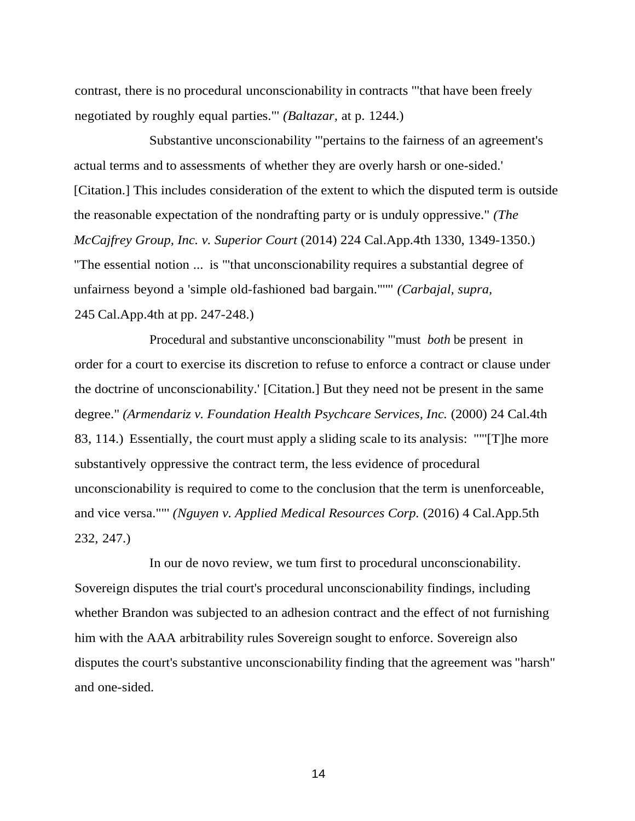contrast, there is no procedural unconscionability in contracts "'that have been freely negotiated by roughly equal parties."' *(Baltazar,* at p. 1244.)

Substantive unconscionability "'pertains to the fairness of an agreement's actual terms and to assessments of whether they are overly harsh or one-sided.' [Citation.] This includes consideration of the extent to which the disputed term is outside the reasonable expectation of the nondrafting party or is unduly oppressive." *(The McCajfrey Group, Inc. v. Superior Court* (2014) 224 Cal.App.4th 1330, 1349-1350.) "The essential notion ... is "'that unconscionability requires a substantial degree of unfairness beyond a 'simple old-fashioned bad bargain."'"' *(Carbajal, supra,* 245 Cal.App.4th at pp. 247-248.)

Procedural and substantive unconscionability "'must *both* be present in order for a court to exercise its discretion to refuse to enforce a contract or clause under the doctrine of unconscionability.' [Citation.] But they need not be present in the same degree." *(Armendariz v. Foundation Health Psychcare Services, Inc. (2000)* 24 Cal.4th 83, 114.) Essentially, the court must apply a sliding scale to its analysis: ""'[T]he more substantively oppressive the contract term, the less evidence of procedural unconscionability is required to come to the conclusion that the term is unenforceable, and vice versa.""' *(Nguyen v. Applied Medical Resources Corp.* (2016) 4 Cal.App.5th 232, 247.)

In our de novo review, we tum first to procedural unconscionability. Sovereign disputes the trial court's procedural unconscionability findings, including whether Brandon was subjected to an adhesion contract and the effect of not furnishing him with the AAA arbitrability rules Sovereign sought to enforce. Sovereign also disputes the court's substantive unconscionability finding that the agreement was "harsh" and one-sided.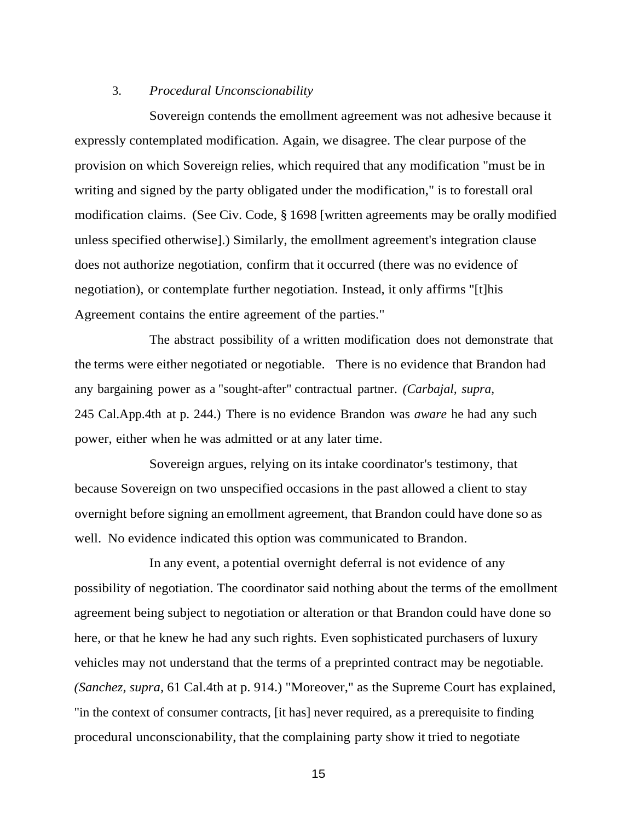### 3. *Procedural Unconscionability*

Sovereign contends the emollment agreement was not adhesive because it expressly contemplated modification. Again, we disagree. The clear purpose of the provision on which Sovereign relies, which required that any modification "must be in writing and signed by the party obligated under the modification," is to forestall oral modification claims. (See Civ. Code, § 1698 [written agreements may be orally modified unless specified otherwise].) Similarly, the emollment agreement's integration clause does not authorize negotiation, confirm that it occurred (there was no evidence of negotiation), or contemplate further negotiation. Instead, it only affirms "[t]his Agreement contains the entire agreement of the parties."

The abstract possibility of a written modification does not demonstrate that the terms were either negotiated or negotiable. There is no evidence that Brandon had any bargaining power as a "sought-after" contractual partner. *(Carbajal, supra,* 245 Cal.App.4th at p. 244.) There is no evidence Brandon was *aware* he had any such power, either when he was admitted or at any later time.

Sovereign argues, relying on its intake coordinator's testimony, that because Sovereign on two unspecified occasions in the past allowed a client to stay overnight before signing an emollment agreement, that Brandon could have done so as well. No evidence indicated this option was communicated to Brandon.

In any event, a potential overnight deferral is not evidence of any possibility of negotiation. The coordinator said nothing about the terms of the emollment agreement being subject to negotiation or alteration or that Brandon could have done so here, or that he knew he had any such rights. Even sophisticated purchasers of luxury vehicles may not understand that the terms of a preprinted contract may be negotiable. *(Sanchez, supra,* 61 Cal.4th at p. 914.) "Moreover," as the Supreme Court has explained, "in the context of consumer contracts, [it has] never required, as a prerequisite to finding procedural unconscionability, that the complaining party show it tried to negotiate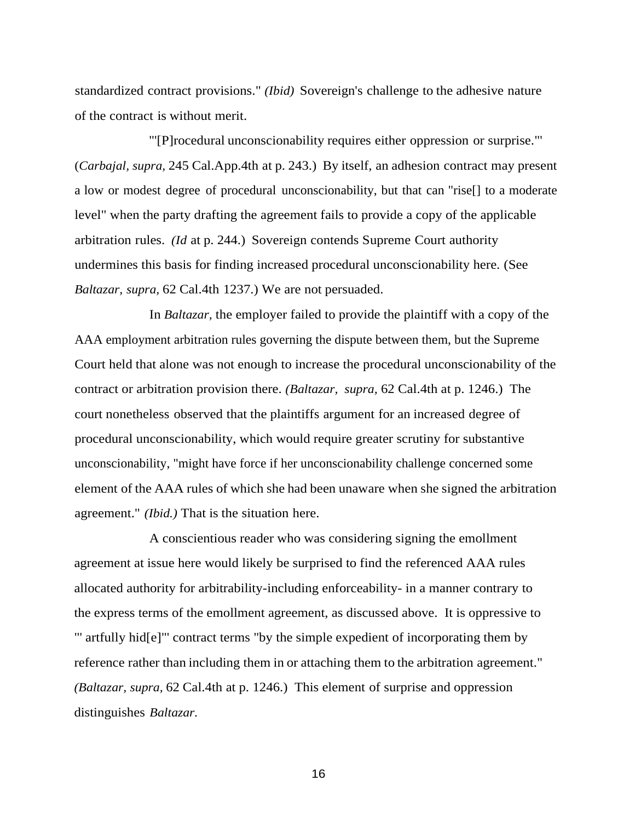standardized contract provisions." *(Ibid)* Sovereign's challenge to the adhesive nature of the contract is without merit.

"'[P]rocedural unconscionability requires either oppression or surprise."' (*Carbajal, supra,* 245 Cal.App.4th at p. 243.) By itself, an adhesion contract may present a low or modest degree of procedural unconscionability, but that can "rise[] to a moderate level" when the party drafting the agreement fails to provide a copy of the applicable arbitration rules. *(Id* at p. 244.) Sovereign contends Supreme Court authority undermines this basis for finding increased procedural unconscionability here. (See *Baltazar, supra,* 62 Cal.4th 1237.) We are not persuaded.

In *Baltazar,* the employer failed to provide the plaintiff with a copy of the AAA employment arbitration rules governing the dispute between them, but the Supreme Court held that alone was not enough to increase the procedural unconscionability of the contract or arbitration provision there. *(Baltazar, supra,* 62 Cal.4th at p. 1246.) The court nonetheless observed that the plaintiffs argument for an increased degree of procedural unconscionability, which would require greater scrutiny for substantive unconscionability, "might have force if her unconscionability challenge concerned some element of the AAA rules of which she had been unaware when she signed the arbitration agreement." *(Ibid.)* That is the situation here.

A conscientious reader who was considering signing the emollment agreement at issue here would likely be surprised to find the referenced AAA rules allocated authority for arbitrability-including enforceability- in a manner contrary to the express terms of the emollment agreement, as discussed above. It is oppressive to "' artfully hid[e]"' contract terms "by the simple expedient of incorporating them by reference rather than including them in or attaching them to the arbitration agreement." *(Baltazar, supra,* 62 Cal.4th at p. 1246.) This element of surprise and oppression distinguishes *Baltazar.*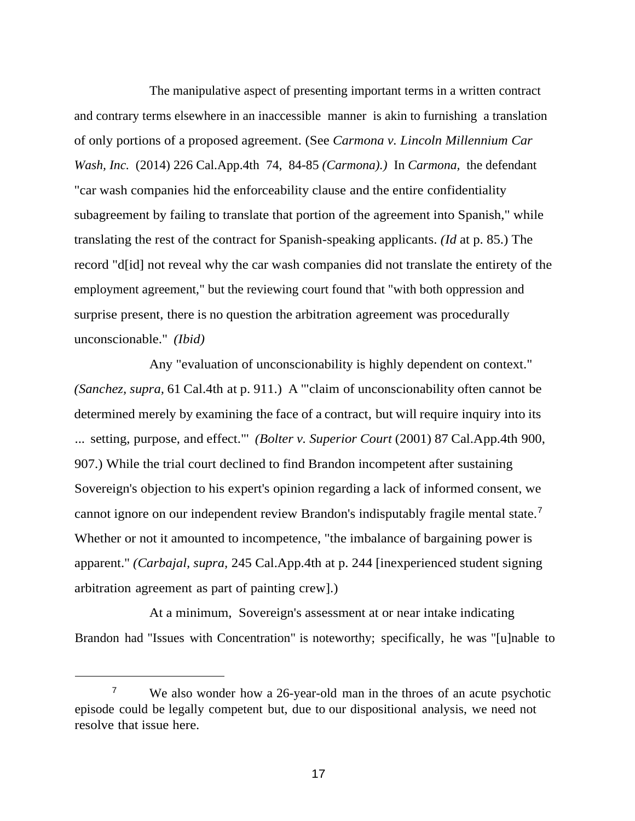The manipulative aspect of presenting important terms in a written contract and contrary terms elsewhere in an inaccessible manner is akin to furnishing a translation of only portions of a proposed agreement. (See *Carmona v. Lincoln Millennium Car Wash, Inc.* (2014) 226 Cal.App.4th 74, 84-85 *(Carmona).)* In *Carmona,* the defendant "car wash companies hid the enforceability clause and the entire confidentiality subagreement by failing to translate that portion of the agreement into Spanish," while translating the rest of the contract for Spanish-speaking applicants. *(Id* at p. 85.) The record "d[id] not reveal why the car wash companies did not translate the entirety of the employment agreement," but the reviewing court found that "with both oppression and surprise present, there is no question the arbitration agreement was procedurally unconscionable." *(Ibid)*

Any "evaluation of unconscionability is highly dependent on context." *(Sanchez, supra,* 61 Cal.4th at p. 911.) A '"claim of unconscionability often cannot be determined merely by examining the face of a contract, but will require inquiry into its ... setting, purpose, and effect."' *(Bolter v. Superior Court* (2001) 87 Cal.App.4th 900, 907.) While the trial court declined to find Brandon incompetent after sustaining Sovereign's objection to his expert's opinion regarding a lack of informed consent, we cannot ignore on our independent review Brandon's indisputably fragile mental state.<sup>7</sup> Whether or not it amounted to incompetence, "the imbalance of bargaining power is apparent." *(Carbajal, supra,* 245 Cal.App.4th at p. 244 [inexperienced student signing arbitration agreement as part of painting crew].)

At a minimum, Sovereign's assessment at or near intake indicating Brandon had "Issues with Concentration" is noteworthy; specifically, he was "[u]nable to

<sup>&</sup>lt;sup>7</sup> We also wonder how a 26-year-old man in the throes of an acute psychotic episode could be legally competent but, due to our dispositional analysis, we need not resolve that issue here.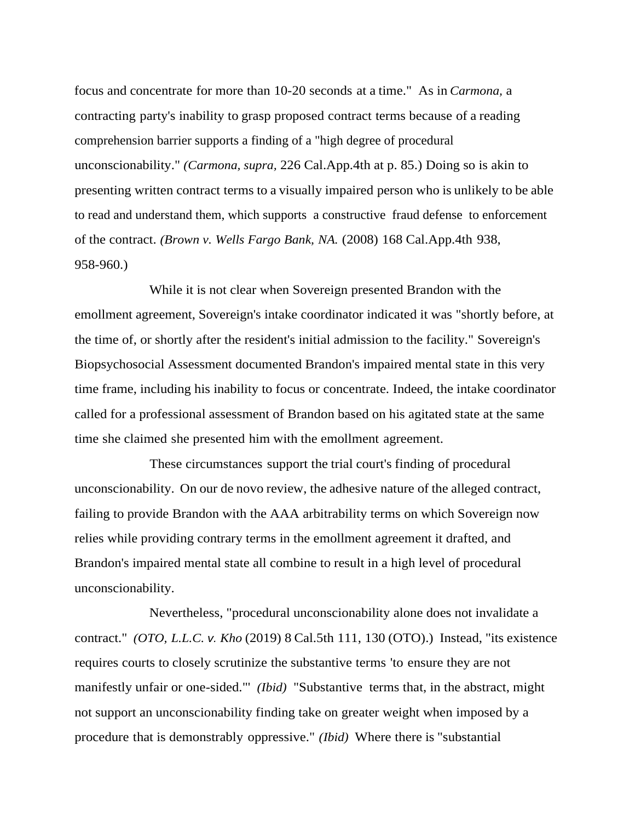focus and concentrate for more than 10-20 seconds at a time." As in *Carmona,* a contracting party's inability to grasp proposed contract terms because of a reading comprehension barrier supports a finding of a "high degree of procedural unconscionability." *(Carmona, supra,* 226 Cal.App.4th at p. 85.) Doing so is akin to presenting written contract terms to a visually impaired person who is unlikely to be able to read and understand them, which supports a constructive fraud defense to enforcement of the contract. *(Brown v. Wells Fargo Bank, NA.* (2008) 168 Cal.App.4th 938, 958-960.)

While it is not clear when Sovereign presented Brandon with the emollment agreement, Sovereign's intake coordinator indicated it was "shortly before, at the time of, or shortly after the resident's initial admission to the facility." Sovereign's Biopsychosocial Assessment documented Brandon's impaired mental state in this very time frame, including his inability to focus or concentrate. Indeed, the intake coordinator called for a professional assessment of Brandon based on his agitated state at the same time she claimed she presented him with the emollment agreement.

These circumstances support the trial court's finding of procedural unconscionability. On our de novo review, the adhesive nature of the alleged contract, failing to provide Brandon with the AAA arbitrability terms on which Sovereign now relies while providing contrary terms in the emollment agreement it drafted, and Brandon's impaired mental state all combine to result in a high level of procedural unconscionability.

Nevertheless, "procedural unconscionability alone does not invalidate a contract." *(OTO, L.L.C. v. Kho* (2019) 8 Cal.5th 111, 130 (OTO).) Instead, "its existence requires courts to closely scrutinize the substantive terms 'to ensure they are not manifestly unfair or one-sided."' *(Ibid)* "Substantive terms that, in the abstract, might not support an unconscionability finding take on greater weight when imposed by a procedure that is demonstrably oppressive." *(Ibid)* Where there is "substantial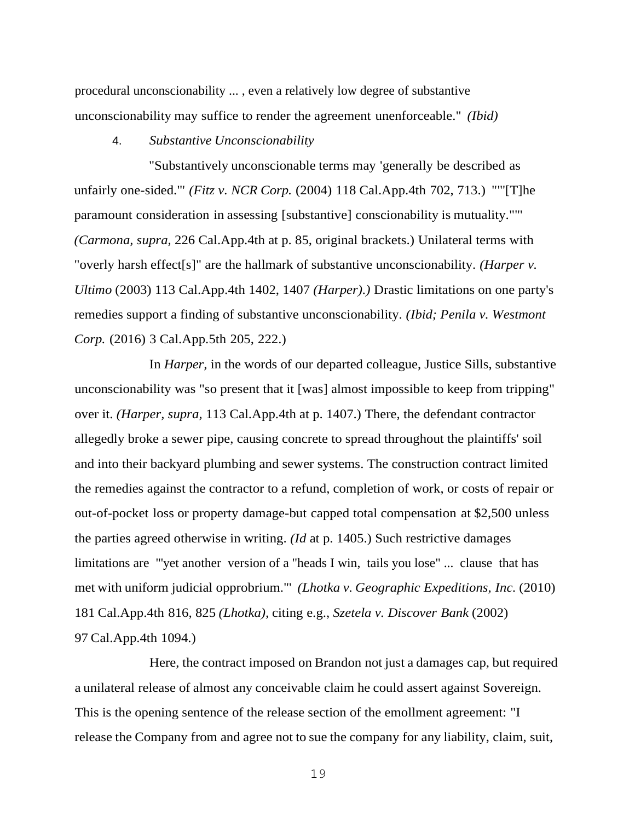procedural unconscionability ... , even a relatively low degree of substantive unconscionability may suffice to render the agreement unenforceable." *(Ibid)*

4. *Substantive Unconscionability*

"Substantively unconscionable terms may 'generally be described as unfairly one-sided."' *(Fitz v. NCR Corp.* (2004) 118 Cal.App.4th 702, 713.) ""'[T]he paramount consideration in assessing [substantive] conscionability is mutuality.""' *(Carmona, supra,* 226 Cal.App.4th at p. 85, original brackets.) Unilateral terms with "overly harsh effect[s]" are the hallmark of substantive unconscionability. *(Harper v. Ultimo* (2003) 113 Cal.App.4th 1402, 1407 *(Harper).)* Drastic limitations on one party's remedies support a finding of substantive unconscionability. *(Ibid; Penila v. Westmont Corp.* (2016) 3 Cal.App.5th 205, 222.)

In *Harper,* in the words of our departed colleague, Justice Sills, substantive unconscionability was "so present that it [was] almost impossible to keep from tripping" over it. *(Harper, supra,* 113 Cal.App.4th at p. 1407.) There, the defendant contractor allegedly broke a sewer pipe, causing concrete to spread throughout the plaintiffs' soil and into their backyard plumbing and sewer systems. The construction contract limited the remedies against the contractor to a refund, completion of work, or costs of repair or out-of-pocket loss or property damage-but capped total compensation at \$2,500 unless the parties agreed otherwise in writing. *(Id* at p. 1405.) Such restrictive damages limitations are "'yet another version of a "heads I win, tails you lose" ... clause that has met with uniform judicial opprobrium."' *(Lhotka v. Geographic Expeditions, Inc.* (2010) 181 Cal.App.4th 816, 825 *(Lhotka),* citing e.g., *Szetela v. Discover Bank* (2002) 97 Cal.App.4th 1094.)

Here, the contract imposed on Brandon not just a damages cap, but required a unilateral release of almost any conceivable claim he could assert against Sovereign. This is the opening sentence of the release section of the emollment agreement: "I release the Company from and agree not to sue the company for any liability, claim, suit,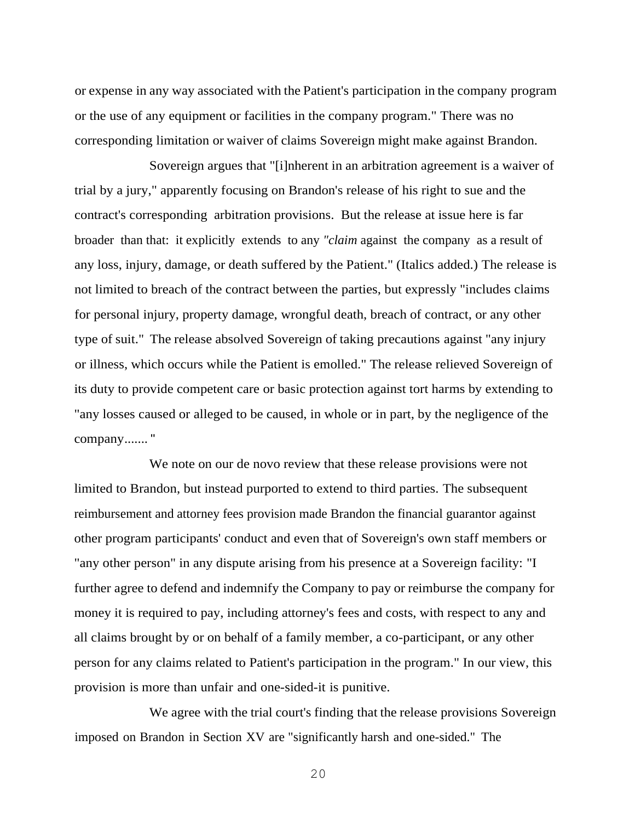or expense in any way associated with the Patient's participation in the company program or the use of any equipment or facilities in the company program." There was no corresponding limitation or waiver of claims Sovereign might make against Brandon.

Sovereign argues that "[i]nherent in an arbitration agreement is a waiver of trial by a jury," apparently focusing on Brandon's release of his right to sue and the contract's corresponding arbitration provisions. But the release at issue here is far broader than that: it explicitly extends to any *"claim* against the company as a result of any loss, injury, damage, or death suffered by the Patient." (Italics added.) The release is not limited to breach of the contract between the parties, but expressly "includes claims for personal injury, property damage, wrongful death, breach of contract, or any other type of suit." The release absolved Sovereign of taking precautions against "any injury or illness, which occurs while the Patient is emolled." The release relieved Sovereign of its duty to provide competent care or basic protection against tort harms by extending to "any losses caused or alleged to be caused, in whole or in part, by the negligence of the company....... "

We note on our de novo review that these release provisions were not limited to Brandon, but instead purported to extend to third parties. The subsequent reimbursement and attorney fees provision made Brandon the financial guarantor against other program participants' conduct and even that of Sovereign's own staff members or "any other person" in any dispute arising from his presence at a Sovereign facility: "I further agree to defend and indemnify the Company to pay or reimburse the company for money it is required to pay, including attorney's fees and costs, with respect to any and all claims brought by or on behalf of a family member, a co-participant, or any other person for any claims related to Patient's participation in the program." In our view, this provision is more than unfair and one-sided-it is punitive.

We agree with the trial court's finding that the release provisions Sovereign imposed on Brandon in Section XV are "significantly harsh and one-sided." The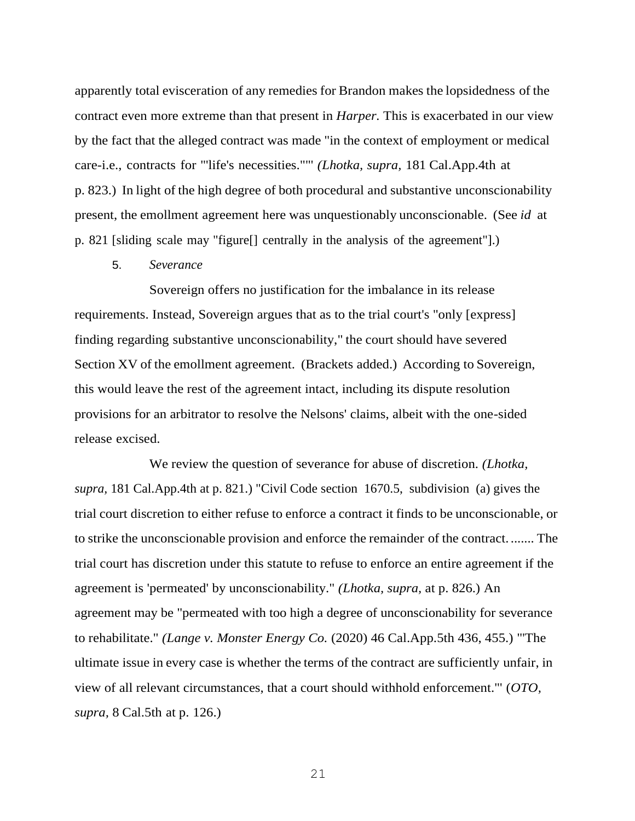apparently total evisceration of any remedies for Brandon makes the lopsidedness of the contract even more extreme than that present in *Harper.* This is exacerbated in our view by the fact that the alleged contract was made "in the context of employment or medical care-i.e., contracts for "'life's necessities.""' *(Lhotka, supra,* 181 Cal.App.4th at p. 823.) In light of the high degree of both procedural and substantive unconscionability present, the emollment agreement here was unquestionably unconscionable. (See *id* at p. 821 [sliding scale may "figure[] centrally in the analysis of the agreement"].)

5. *Severance*

Sovereign offers no justification for the imbalance in its release requirements. Instead, Sovereign argues that as to the trial court's "only [express] finding regarding substantive unconscionability," the court should have severed Section XV of the emollment agreement. (Brackets added.) According to Sovereign, this would leave the rest of the agreement intact, including its dispute resolution provisions for an arbitrator to resolve the Nelsons' claims, albeit with the one-sided release excised.

We review the question of severance for abuse of discretion. *(Lhotka, supra,* 181 Cal.App.4th at p. 821.) "Civil Code section 1670.5, subdivision (a) gives the trial court discretion to either refuse to enforce a contract it finds to be unconscionable, or to strike the unconscionable provision and enforce the remainder of the contract. ....... The trial court has discretion under this statute to refuse to enforce an entire agreement if the agreement is 'permeated' by unconscionability." *(Lhotka, supra,* at p. 826.) An agreement may be "permeated with too high a degree of unconscionability for severance to rehabilitate." *(Lange v. Monster Energy Co.* (2020) 46 Cal.App.5th 436, 455.) "'The ultimate issue in every case is whether the terms of the contract are sufficiently unfair, in view of all relevant circumstances, that a court should withhold enforcement."' (*OTO, supra,* 8 Cal.5th at p. 126.)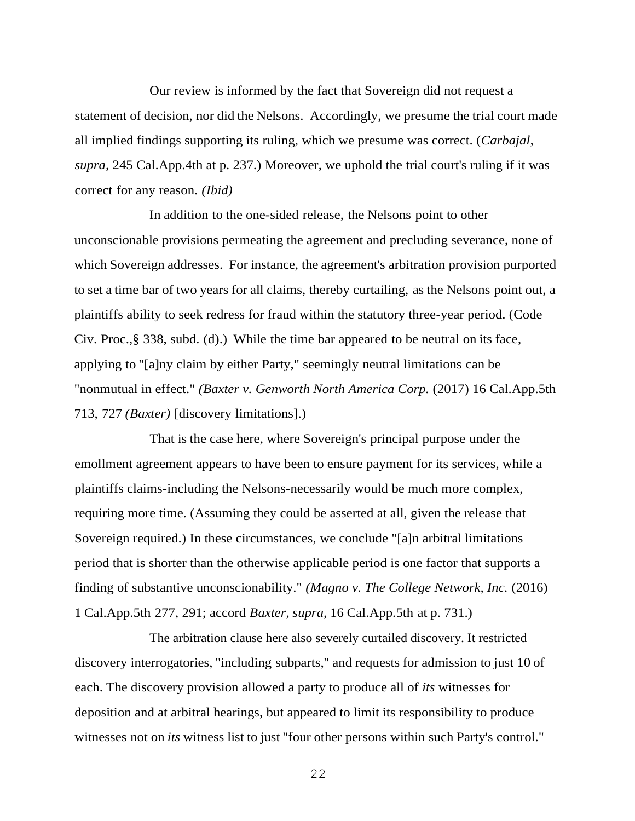Our review is informed by the fact that Sovereign did not request a statement of decision, nor did the Nelsons. Accordingly, we presume the trial court made all implied findings supporting its ruling, which we presume was correct. (*Carbajal, supra,* 245 Cal.App.4th at p. 237.) Moreover, we uphold the trial court's ruling if it was correct for any reason. *(Ibid)*

In addition to the one-sided release, the Nelsons point to other unconscionable provisions permeating the agreement and precluding severance, none of which Sovereign addresses. For instance, the agreement's arbitration provision purported to set a time bar of two years for all claims, thereby curtailing, as the Nelsons point out, a plaintiffs ability to seek redress for fraud within the statutory three-year period. (Code Civ. Proc.,§ 338, subd. (d).) While the time bar appeared to be neutral on its face, applying to "[a]ny claim by either Party," seemingly neutral limitations can be "nonmutual in effect." *(Baxter v. Genworth North America Corp.* (2017) 16 Cal.App.5th 713, 727 *(Baxter)* [discovery limitations].)

That is the case here, where Sovereign's principal purpose under the emollment agreement appears to have been to ensure payment for its services, while a plaintiffs claims-including the Nelsons-necessarily would be much more complex, requiring more time. (Assuming they could be asserted at all, given the release that Sovereign required.) In these circumstances, we conclude "[a]n arbitral limitations period that is shorter than the otherwise applicable period is one factor that supports a finding of substantive unconscionability." *(Magno v. The College Network, Inc.* (2016) 1 Cal.App.5th 277, 291; accord *Baxter, supra,* 16 Cal.App.5th at p. 731.)

The arbitration clause here also severely curtailed discovery. It restricted discovery interrogatories, "including subparts," and requests for admission to just 10 of each. The discovery provision allowed a party to produce all of *its* witnesses for deposition and at arbitral hearings, but appeared to limit its responsibility to produce witnesses not on *its* witness list to just "four other persons within such Party's control."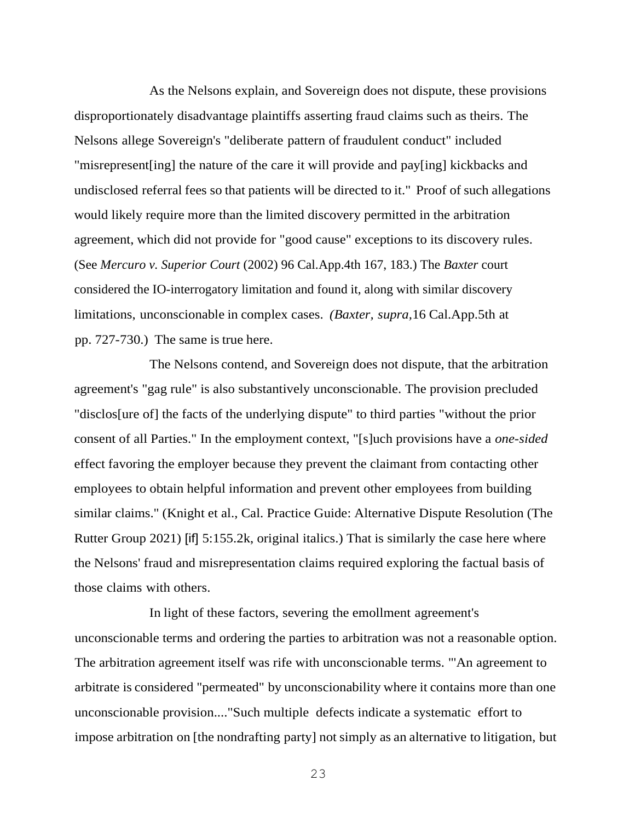As the Nelsons explain, and Sovereign does not dispute, these provisions disproportionately disadvantage plaintiffs asserting fraud claims such as theirs. The Nelsons allege Sovereign's "deliberate pattern of fraudulent conduct" included "misrepresent[ing] the nature of the care it will provide and pay[ing] kickbacks and undisclosed referral fees so that patients will be directed to it." Proof of such allegations would likely require more than the limited discovery permitted in the arbitration agreement, which did not provide for "good cause" exceptions to its discovery rules. (See *Mercuro v. Superior Court* (2002) 96 Cal.App.4th 167, 183.) The *Baxter* court considered the IO-interrogatory limitation and found it, along with similar discovery limitations, unconscionable in complex cases. *(Baxter, supra,*16 Cal.App.5th at pp. 727-730.) The same is true here.

The Nelsons contend, and Sovereign does not dispute, that the arbitration agreement's "gag rule" is also substantively unconscionable. The provision precluded "disclos[ure of] the facts of the underlying dispute" to third parties "without the prior consent of all Parties." In the employment context, "[s]uch provisions have a *one-sided* effect favoring the employer because they prevent the claimant from contacting other employees to obtain helpful information and prevent other employees from building similar claims." (Knight et al., Cal. Practice Guide: Alternative Dispute Resolution (The Rutter Group 2021) [if] 5:155.2k, original italics.) That is similarly the case here where the Nelsons' fraud and misrepresentation claims required exploring the factual basis of those claims with others.

In light of these factors, severing the emollment agreement's unconscionable terms and ordering the parties to arbitration was not a reasonable option. The arbitration agreement itself was rife with unconscionable terms. "'An agreement to arbitrate is considered "permeated" by unconscionability where it contains more than one unconscionable provision...."Such multiple defects indicate a systematic effort to impose arbitration on [the nondrafting party] not simply as an alternative to litigation, but